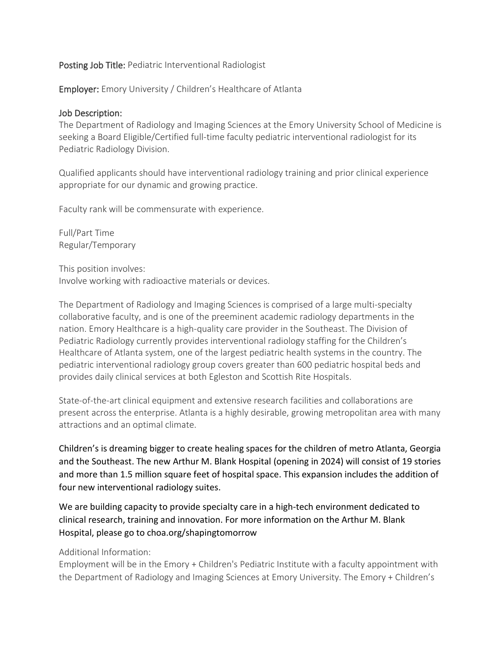## Posting Job Title: Pediatric Interventional Radiologist

Employer: Emory University / Children's Healthcare of Atlanta

## Job Description:

The Department of Radiology and Imaging Sciences at the Emory University School of Medicine is seeking a Board Eligible/Certified full-time faculty pediatric interventional radiologist for its Pediatric Radiology Division.

Qualified applicants should have interventional radiology training and prior clinical experience appropriate for our dynamic and growing practice.

Faculty rank will be commensurate with experience.

Full/Part Time Regular/Temporary

This position involves: Involve working with radioactive materials or devices.

The Department of Radiology and Imaging Sciences is comprised of a large multi-specialty collaborative faculty, and is one of the preeminent academic radiology departments in the nation. Emory Healthcare is a high-quality care provider in the Southeast. The Division of Pediatric Radiology currently provides interventional radiology staffing for the Children's Healthcare of Atlanta system, one of the largest pediatric health systems in the country. The pediatric interventional radiology group covers greater than 600 pediatric hospital beds and provides daily clinical services at both Egleston and Scottish Rite Hospitals.

State-of-the-art clinical equipment and extensive research facilities and collaborations are present across the enterprise. Atlanta is a highly desirable, growing metropolitan area with many attractions and an optimal climate.

Children's is dreaming bigger to create healing spaces for the children of metro Atlanta, Georgia and the Southeast. The new Arthur M. Blank Hospital (opening in 2024) will consist of 19 stories and more than 1.5 million square feet of hospital space. This expansion includes the addition of four new interventional radiology suites.

We are building capacity to provide specialty care in a high-tech environment dedicated to clinical research, training and innovation. For more information on the Arthur M. Blank Hospital, please go to choa.org/shapingtomorrow

## Additional Information:

Employment will be in the Emory + Children's Pediatric Institute with a faculty appointment with the Department of Radiology and Imaging Sciences at Emory University. The Emory + Children's